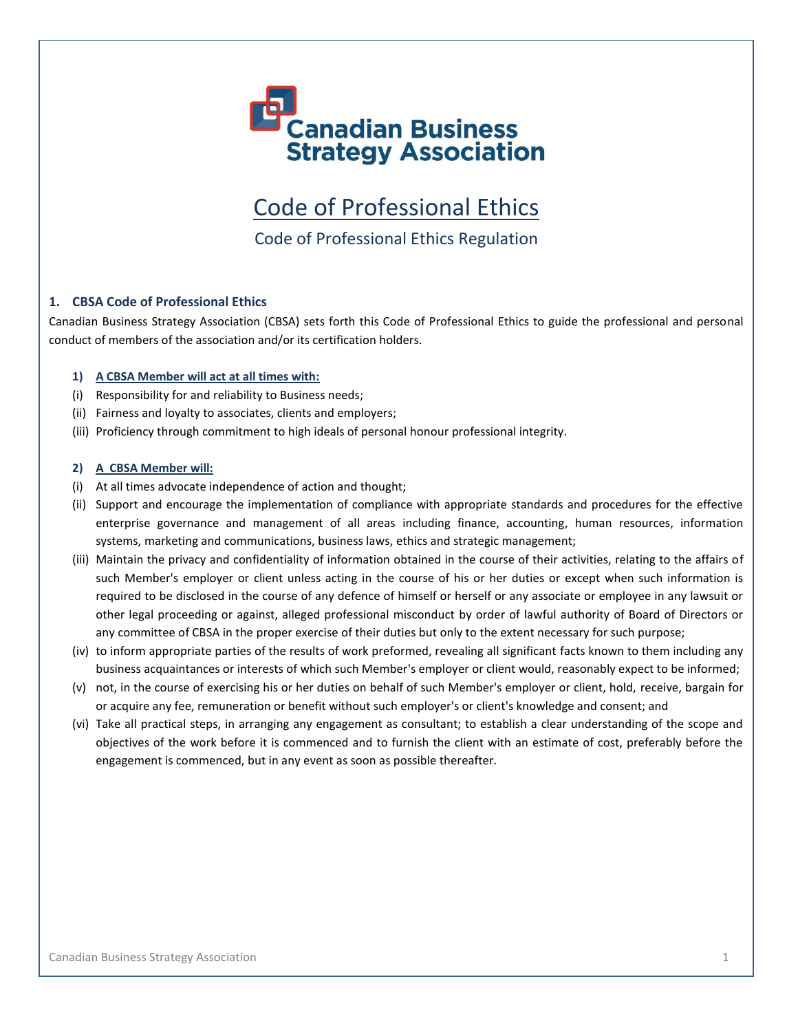

Code of Professional Ethics

Code of Professional Ethics Regulation

# **1. CBSA Code of Professional Ethics**

Canadian Business Strategy Association (CBSA) sets forth this Code of Professional Ethics to guide the professional and personal conduct of members of the association and/or its certification holders.

### **1) A CBSA Member will act at all times with:**

- (i) Responsibility for and reliability to Business needs;
- (ii) Fairness and loyalty to associates, clients and employers;
- (iii) Proficiency through commitment to high ideals of personal honour professional integrity.

#### **2) A CBSA Member will:**

- (i) At all times advocate independence of action and thought;
- (ii) Support and encourage the implementation of compliance with appropriate standards and procedures for the effective enterprise governance and management of all areas including finance, accounting, human resources, information systems, marketing and communications, business laws, ethics and strategic management;
- (iii) Maintain the privacy and confidentiality of information obtained in the course of their activities, relating to the affairs of such Member's employer or client unless acting in the course of his or her duties or except when such information is required to be disclosed in the course of any defence of himself or herself or any associate or employee in any lawsuit or other legal proceeding or against, alleged professional misconduct by order of lawful authority of Board of Directors or any committee of CBSA in the proper exercise of their duties but only to the extent necessary for such purpose;
- (iv) to inform appropriate parties of the results of work preformed, revealing all significant facts known to them including any business acquaintances or interests of which such Member's employer or client would, reasonably expect to be informed;
- (v) not, in the course of exercising his or her duties on behalf of such Member's employer or client, hold, receive, bargain for or acquire any fee, remuneration or benefit without such employer's or client's knowledge and consent; and
- (vi) Take all practical steps, in arranging any engagement as consultant; to establish a clear understanding of the scope and objectives of the work before it is commenced and to furnish the client with an estimate of cost, preferably before the engagement is commenced, but in any event as soon as possible thereafter.